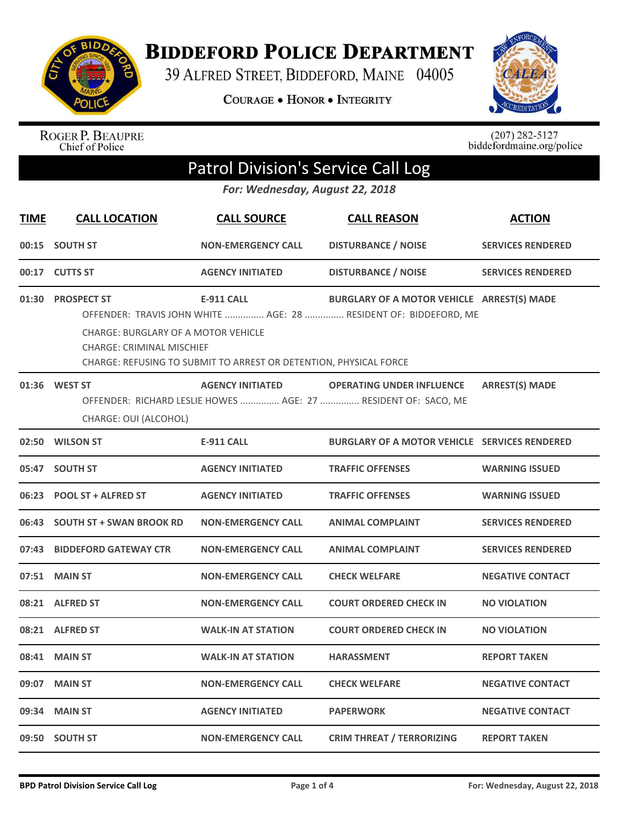

**BIDDEFORD POLICE DEPARTMENT** 

39 ALFRED STREET, BIDDEFORD, MAINE 04005

COURAGE . HONOR . INTEGRITY



ROGER P. BEAUPRE<br>Chief of Police

 $(207)$  282-5127<br>biddefordmaine.org/police

## Patrol Division's Service Call Log

*For: Wednesday, August 22, 2018*

| <b>TIME</b> | <b>CALL LOCATION</b>                                                                                                                                                                                                                                                                                             | <b>CALL SOURCE</b>        | <b>CALL REASON</b>                                   | <b>ACTION</b>            |  |
|-------------|------------------------------------------------------------------------------------------------------------------------------------------------------------------------------------------------------------------------------------------------------------------------------------------------------------------|---------------------------|------------------------------------------------------|--------------------------|--|
|             | 00:15 SOUTH ST                                                                                                                                                                                                                                                                                                   | <b>NON-EMERGENCY CALL</b> | <b>DISTURBANCE / NOISE</b>                           | <b>SERVICES RENDERED</b> |  |
|             | 00:17 CUTTS ST                                                                                                                                                                                                                                                                                                   | <b>AGENCY INITIATED</b>   | <b>DISTURBANCE / NOISE</b>                           | <b>SERVICES RENDERED</b> |  |
| 01:30       | <b>PROSPECT ST</b><br><b>E-911 CALL</b><br>BURGLARY OF A MOTOR VEHICLE ARREST(S) MADE<br>OFFENDER: TRAVIS JOHN WHITE  AGE: 28  RESIDENT OF: BIDDEFORD, ME<br><b>CHARGE: BURGLARY OF A MOTOR VEHICLE</b><br><b>CHARGE: CRIMINAL MISCHIEF</b><br>CHARGE: REFUSING TO SUBMIT TO ARREST OR DETENTION, PHYSICAL FORCE |                           |                                                      |                          |  |
|             | 01:36 WEST ST<br><b>AGENCY INITIATED</b><br><b>ARREST(S) MADE</b><br><b>OPERATING UNDER INFLUENCE</b><br>OFFENDER: RICHARD LESLIE HOWES  AGE: 27  RESIDENT OF: SACO, ME<br>CHARGE: OUI (ALCOHOL)                                                                                                                 |                           |                                                      |                          |  |
|             | 02:50 WILSON ST                                                                                                                                                                                                                                                                                                  | <b>E-911 CALL</b>         | <b>BURGLARY OF A MOTOR VEHICLE SERVICES RENDERED</b> |                          |  |
|             | 05:47 SOUTH ST                                                                                                                                                                                                                                                                                                   | <b>AGENCY INITIATED</b>   | <b>TRAFFIC OFFENSES</b>                              | <b>WARNING ISSUED</b>    |  |
| 06:23       | <b>POOL ST + ALFRED ST</b>                                                                                                                                                                                                                                                                                       | <b>AGENCY INITIATED</b>   | <b>TRAFFIC OFFENSES</b>                              | <b>WARNING ISSUED</b>    |  |
|             | 06:43 SOUTH ST + SWAN BROOK RD                                                                                                                                                                                                                                                                                   | <b>NON-EMERGENCY CALL</b> | <b>ANIMAL COMPLAINT</b>                              | <b>SERVICES RENDERED</b> |  |
|             | 07:43 BIDDEFORD GATEWAY CTR                                                                                                                                                                                                                                                                                      | <b>NON-EMERGENCY CALL</b> | <b>ANIMAL COMPLAINT</b>                              | <b>SERVICES RENDERED</b> |  |
|             | 07:51 MAIN ST                                                                                                                                                                                                                                                                                                    | <b>NON-EMERGENCY CALL</b> | <b>CHECK WELFARE</b>                                 | <b>NEGATIVE CONTACT</b>  |  |
|             | 08:21 ALFRED ST                                                                                                                                                                                                                                                                                                  | <b>NON-EMERGENCY CALL</b> | <b>COURT ORDERED CHECK IN</b>                        | <b>NO VIOLATION</b>      |  |
|             | 08:21 ALFRED ST                                                                                                                                                                                                                                                                                                  | <b>WALK-IN AT STATION</b> | <b>COURT ORDERED CHECK IN</b>                        | <b>NO VIOLATION</b>      |  |
| 08:41       | <b>MAIN ST</b>                                                                                                                                                                                                                                                                                                   | <b>WALK-IN AT STATION</b> | <b>HARASSMENT</b>                                    | <b>REPORT TAKEN</b>      |  |
| 09:07       | <b>MAIN ST</b>                                                                                                                                                                                                                                                                                                   | <b>NON-EMERGENCY CALL</b> | <b>CHECK WELFARE</b>                                 | <b>NEGATIVE CONTACT</b>  |  |
| 09:34       | <b>MAIN ST</b>                                                                                                                                                                                                                                                                                                   | <b>AGENCY INITIATED</b>   | <b>PAPERWORK</b>                                     | <b>NEGATIVE CONTACT</b>  |  |
|             | 09:50 SOUTH ST                                                                                                                                                                                                                                                                                                   | <b>NON-EMERGENCY CALL</b> | <b>CRIM THREAT / TERRORIZING</b>                     | <b>REPORT TAKEN</b>      |  |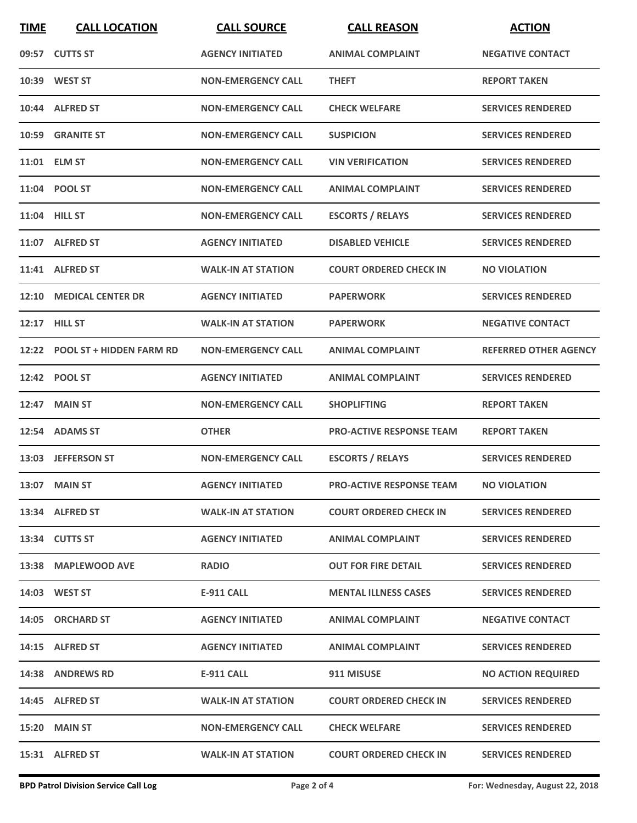| <b>TIME</b> | <b>CALL LOCATION</b>           | <b>CALL SOURCE</b>        | <b>CALL REASON</b>              | <b>ACTION</b>                |
|-------------|--------------------------------|---------------------------|---------------------------------|------------------------------|
|             | 09:57 CUTTS ST                 | <b>AGENCY INITIATED</b>   | <b>ANIMAL COMPLAINT</b>         | <b>NEGATIVE CONTACT</b>      |
|             | 10:39 WEST ST                  | <b>NON-EMERGENCY CALL</b> | <b>THEFT</b>                    | <b>REPORT TAKEN</b>          |
|             | 10:44 ALFRED ST                | <b>NON-EMERGENCY CALL</b> | <b>CHECK WELFARE</b>            | <b>SERVICES RENDERED</b>     |
|             | 10:59 GRANITE ST               | <b>NON-EMERGENCY CALL</b> | <b>SUSPICION</b>                | <b>SERVICES RENDERED</b>     |
|             | 11:01 ELM ST                   | <b>NON-EMERGENCY CALL</b> | <b>VIN VERIFICATION</b>         | <b>SERVICES RENDERED</b>     |
|             | 11:04 POOL ST                  | <b>NON-EMERGENCY CALL</b> | <b>ANIMAL COMPLAINT</b>         | <b>SERVICES RENDERED</b>     |
|             | 11:04 HILL ST                  | <b>NON-EMERGENCY CALL</b> | <b>ESCORTS / RELAYS</b>         | <b>SERVICES RENDERED</b>     |
|             | 11:07 ALFRED ST                | <b>AGENCY INITIATED</b>   | <b>DISABLED VEHICLE</b>         | <b>SERVICES RENDERED</b>     |
|             | 11:41 ALFRED ST                | <b>WALK-IN AT STATION</b> | <b>COURT ORDERED CHECK IN</b>   | <b>NO VIOLATION</b>          |
|             | 12:10 MEDICAL CENTER DR        | <b>AGENCY INITIATED</b>   | <b>PAPERWORK</b>                | <b>SERVICES RENDERED</b>     |
|             | 12:17 HILL ST                  | <b>WALK-IN AT STATION</b> | <b>PAPERWORK</b>                | <b>NEGATIVE CONTACT</b>      |
|             | 12:22 POOL ST + HIDDEN FARM RD | <b>NON-EMERGENCY CALL</b> | <b>ANIMAL COMPLAINT</b>         | <b>REFERRED OTHER AGENCY</b> |
|             | 12:42 POOL ST                  | <b>AGENCY INITIATED</b>   | <b>ANIMAL COMPLAINT</b>         | <b>SERVICES RENDERED</b>     |
| 12:47       | <b>MAIN ST</b>                 | <b>NON-EMERGENCY CALL</b> | <b>SHOPLIFTING</b>              | <b>REPORT TAKEN</b>          |
|             | 12:54 ADAMS ST                 | <b>OTHER</b>              | <b>PRO-ACTIVE RESPONSE TEAM</b> | <b>REPORT TAKEN</b>          |
|             | 13:03 JEFFERSON ST             | <b>NON-EMERGENCY CALL</b> | <b>ESCORTS / RELAYS</b>         | <b>SERVICES RENDERED</b>     |
|             | 13:07 MAIN ST                  | <b>AGENCY INITIATED</b>   | <b>PRO-ACTIVE RESPONSE TEAM</b> | <b>NO VIOLATION</b>          |
|             | 13:34 ALFRED ST                | <b>WALK-IN AT STATION</b> | <b>COURT ORDERED CHECK IN</b>   | <b>SERVICES RENDERED</b>     |
|             | 13:34 CUTTS ST                 | <b>AGENCY INITIATED</b>   | ANIMAL COMPLAINT                | <b>SERVICES RENDERED</b>     |
|             | 13:38 MAPLEWOOD AVE            | <b>RADIO</b>              | <b>OUT FOR FIRE DETAIL</b>      | <b>SERVICES RENDERED</b>     |
|             | <b>14:03 WEST ST</b>           | E-911 CALL                | <b>MENTAL ILLNESS CASES</b>     | <b>SERVICES RENDERED</b>     |
|             | 14:05 ORCHARD ST               | <b>AGENCY INITIATED</b>   | ANIMAL COMPLAINT                | <b>NEGATIVE CONTACT</b>      |
|             | 14:15 ALFRED ST                | <b>AGENCY INITIATED</b>   | <b>ANIMAL COMPLAINT</b>         | <b>SERVICES RENDERED</b>     |
|             | 14:38 ANDREWS RD               | <b>E-911 CALL</b>         | 911 MISUSE                      | <b>NO ACTION REQUIRED</b>    |
|             | 14:45 ALFRED ST                | <b>WALK-IN AT STATION</b> | <b>COURT ORDERED CHECK IN</b>   | <b>SERVICES RENDERED</b>     |
|             | 15:20 MAIN ST                  | <b>NON-EMERGENCY CALL</b> | <b>CHECK WELFARE</b>            | <b>SERVICES RENDERED</b>     |
|             | 15:31 ALFRED ST                | <b>WALK-IN AT STATION</b> | <b>COURT ORDERED CHECK IN</b>   | <b>SERVICES RENDERED</b>     |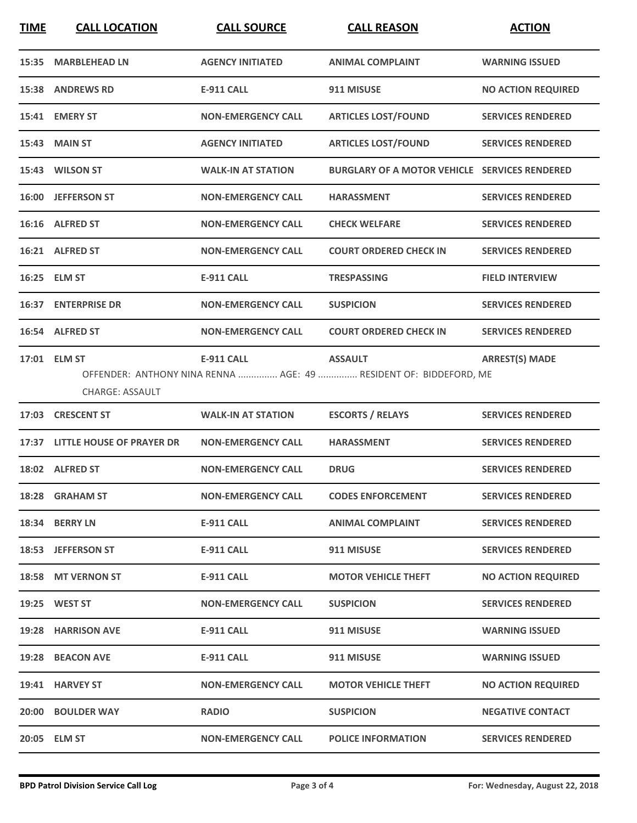| <b>TIME</b> | <b>CALL LOCATION</b>                   | <b>CALL SOURCE</b>        | <b>CALL REASON</b>                                                                  | <b>ACTION</b>             |
|-------------|----------------------------------------|---------------------------|-------------------------------------------------------------------------------------|---------------------------|
|             | 15:35 MARBLEHEAD LN                    | <b>AGENCY INITIATED</b>   | <b>ANIMAL COMPLAINT</b>                                                             | <b>WARNING ISSUED</b>     |
|             | 15:38 ANDREWS RD                       | E-911 CALL                | 911 MISUSE                                                                          | <b>NO ACTION REQUIRED</b> |
|             | 15:41 EMERY ST                         | <b>NON-EMERGENCY CALL</b> | <b>ARTICLES LOST/FOUND</b>                                                          | <b>SERVICES RENDERED</b>  |
|             | <b>15:43 MAIN ST</b>                   | <b>AGENCY INITIATED</b>   | <b>ARTICLES LOST/FOUND</b>                                                          | <b>SERVICES RENDERED</b>  |
|             | 15:43 WILSON ST                        | <b>WALK-IN AT STATION</b> | <b>BURGLARY OF A MOTOR VEHICLE SERVICES RENDERED</b>                                |                           |
|             | 16:00 JEFFERSON ST                     | <b>NON-EMERGENCY CALL</b> | <b>HARASSMENT</b>                                                                   | <b>SERVICES RENDERED</b>  |
|             | 16:16 ALFRED ST                        | <b>NON-EMERGENCY CALL</b> | <b>CHECK WELFARE</b>                                                                | <b>SERVICES RENDERED</b>  |
|             | 16:21 ALFRED ST                        | <b>NON-EMERGENCY CALL</b> | <b>COURT ORDERED CHECK IN</b>                                                       | <b>SERVICES RENDERED</b>  |
|             | 16:25 ELM ST                           | <b>E-911 CALL</b>         | <b>TRESPASSING</b>                                                                  | <b>FIELD INTERVIEW</b>    |
|             | <b>16:37 ENTERPRISE DR</b>             | <b>NON-EMERGENCY CALL</b> | <b>SUSPICION</b>                                                                    | <b>SERVICES RENDERED</b>  |
|             | 16:54 ALFRED ST                        | <b>NON-EMERGENCY CALL</b> | <b>COURT ORDERED CHECK IN</b>                                                       | <b>SERVICES RENDERED</b>  |
|             | 17:01 ELM ST<br><b>CHARGE: ASSAULT</b> | <b>E-911 CALL</b>         | <b>ASSAULT</b><br>OFFENDER: ANTHONY NINA RENNA  AGE: 49  RESIDENT OF: BIDDEFORD, ME | <b>ARREST(S) MADE</b>     |
|             | 17:03 CRESCENT ST                      | <b>WALK-IN AT STATION</b> | <b>ESCORTS / RELAYS</b>                                                             | <b>SERVICES RENDERED</b>  |
|             | 17:37 LITTLE HOUSE OF PRAYER DR        | <b>NON-EMERGENCY CALL</b> | <b>HARASSMENT</b>                                                                   | <b>SERVICES RENDERED</b>  |
|             | 18:02 ALFRED ST                        | <b>NON-EMERGENCY CALL</b> | <b>DRUG</b>                                                                         | <b>SERVICES RENDERED</b>  |
|             | 18:28 GRAHAM ST                        | <b>NON-EMERGENCY CALL</b> | <b>CODES ENFORCEMENT</b>                                                            | <b>SERVICES RENDERED</b>  |
|             | 18:34 BERRY LN                         | E-911 CALL                | <b>ANIMAL COMPLAINT</b>                                                             | <b>SERVICES RENDERED</b>  |
|             | 18:53 JEFFERSON ST                     | <b>E-911 CALL</b>         | 911 MISUSE                                                                          | <b>SERVICES RENDERED</b>  |
|             | 18:58 MT VERNON ST                     | E-911 CALL                | <b>MOTOR VEHICLE THEFT</b>                                                          | <b>NO ACTION REQUIRED</b> |
|             | 19:25 WEST ST                          | <b>NON-EMERGENCY CALL</b> | <b>SUSPICION</b>                                                                    | <b>SERVICES RENDERED</b>  |
|             | 19:28 HARRISON AVE                     | <b>E-911 CALL</b>         | 911 MISUSE                                                                          | <b>WARNING ISSUED</b>     |
|             | 19:28 BEACON AVE                       | E-911 CALL                | 911 MISUSE                                                                          | <b>WARNING ISSUED</b>     |
|             | 19:41 HARVEY ST                        | <b>NON-EMERGENCY CALL</b> | <b>MOTOR VEHICLE THEFT</b>                                                          | <b>NO ACTION REQUIRED</b> |
|             | <b>20:00 BOULDER WAY</b>               | <b>RADIO</b>              | <b>SUSPICION</b>                                                                    | <b>NEGATIVE CONTACT</b>   |
|             | 20:05 ELM ST                           | <b>NON-EMERGENCY CALL</b> | <b>POLICE INFORMATION</b>                                                           | <b>SERVICES RENDERED</b>  |